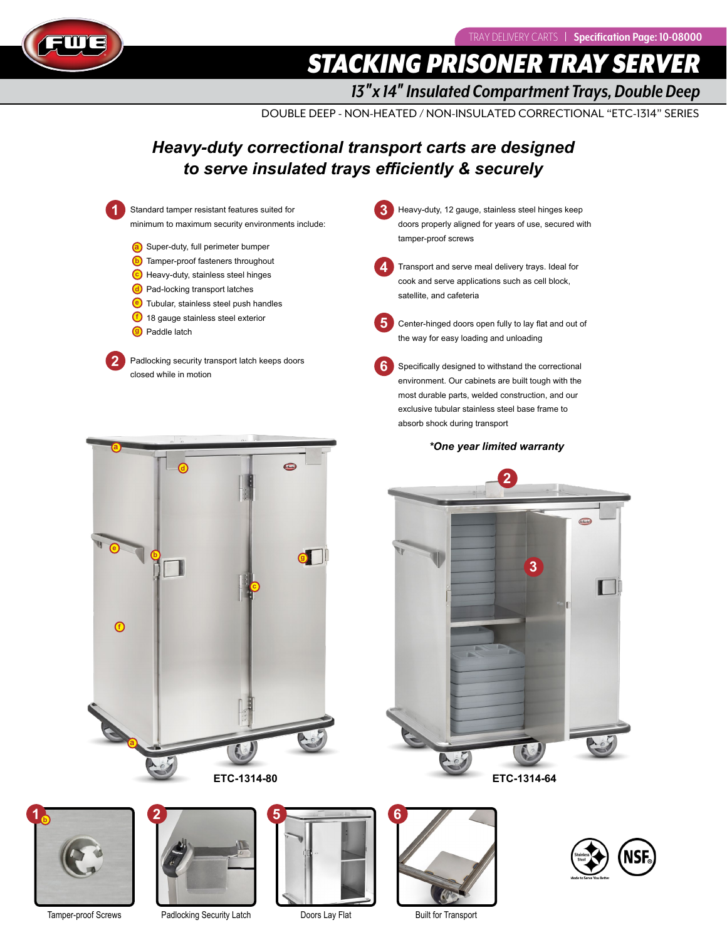

**STACKING PRISONER TRAY SERV** 

*13*″*x 14*″ *Insulated Compartment Trays, Double Deep*

DOUBLE DEEP - NON-HEATED / NON-INSULATED CORRECTIONAL "ETC-1314" SERIES

## *Heavy-duty correctional transport carts are designed to serve insulated trays efficiently & securely*











Tamper-proof Screws Padlocking Security Latch Doors Lay Flat





Built for Transport